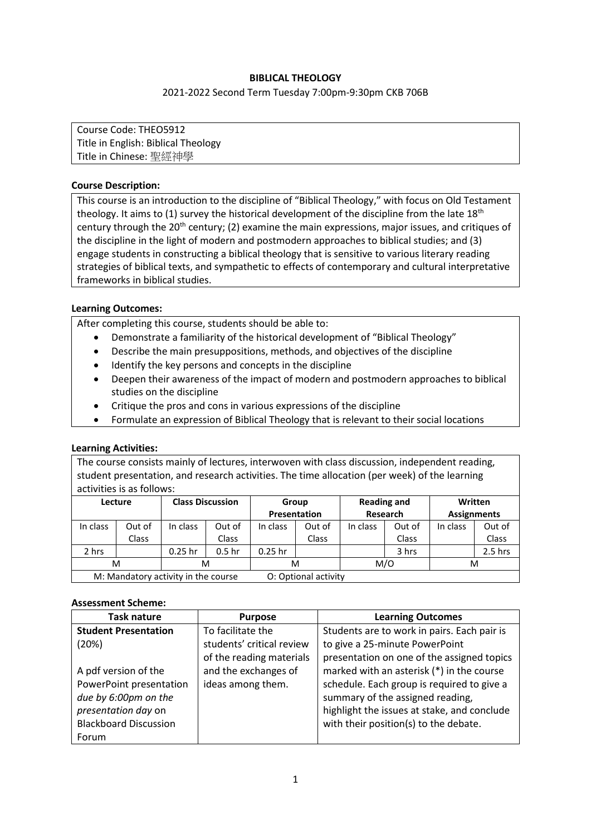# **BIBLICAL THEOLOGY**

#### 2021-2022 Second Term Tuesday 7:00pm-9:30pm CKB 706B

Course Code: THEO5912 Title in English: Biblical Theology Title in Chinese: 聖經神學

## **Course Description:**

This course is an introduction to the discipline of "Biblical Theology," with focus on Old Testament theology. It aims to (1) survey the historical development of the discipline from the late  $18<sup>th</sup>$ century through the 20<sup>th</sup> century; (2) examine the main expressions, major issues, and critiques of the discipline in the light of modern and postmodern approaches to biblical studies; and (3) engage students in constructing a biblical theology that is sensitive to various literary reading strategies of biblical texts, and sympathetic to effects of contemporary and cultural interpretative frameworks in biblical studies.

#### **Learning Outcomes:**

After completing this course, students should be able to:

- Demonstrate a familiarity of the historical development of "Biblical Theology"
- Describe the main presuppositions, methods, and objectives of the discipline
- Identify the key persons and concepts in the discipline
- Deepen their awareness of the impact of modern and postmodern approaches to biblical studies on the discipline
- Critique the pros and cons in various expressions of the discipline
- Formulate an expression of Biblical Theology that is relevant to their social locations

#### **Learning Activities:**

The course consists mainly of lectures, interwoven with class discussion, independent reading, student presentation, and research activities. The time allocation (per week) of the learning activities is as follows:

| Lecture                             |              | <b>Class Discussion</b> |                      | Group     |                     | <b>Reading and</b> |          | <b>Written</b> |                    |
|-------------------------------------|--------------|-------------------------|----------------------|-----------|---------------------|--------------------|----------|----------------|--------------------|
|                                     |              |                         |                      |           | <b>Presentation</b> |                    | Research |                | <b>Assignments</b> |
| In class                            | Out of       | In class                | Out of               | In class  | Out of              | In class           | Out of   | In class       | Out of             |
|                                     | <b>Class</b> |                         | Class                |           | <b>Class</b>        |                    | Class    |                | Class              |
| 2 hrs                               |              | $0.25$ hr               | 0.5 <sub>hr</sub>    | $0.25$ hr |                     |                    | 3 hrs    |                | 2.5 hrs            |
| M<br>M                              |              |                         | м                    |           |                     | M/O                |          | м              |                    |
| M: Mandatory activity in the course |              |                         | O: Optional activity |           |                     |                    |          |                |                    |

#### **Assessment Scheme:**

| <b>Task nature</b>           | <b>Purpose</b>            | <b>Learning Outcomes</b>                    |
|------------------------------|---------------------------|---------------------------------------------|
| <b>Student Presentation</b>  | To facilitate the         | Students are to work in pairs. Each pair is |
| (20%)                        | students' critical review | to give a 25-minute PowerPoint              |
|                              | of the reading materials  | presentation on one of the assigned topics  |
| A pdf version of the         | and the exchanges of      | marked with an asterisk (*) in the course   |
| PowerPoint presentation      | ideas among them.         | schedule. Each group is required to give a  |
| due by 6:00pm on the         |                           | summary of the assigned reading,            |
| presentation day on          |                           | highlight the issues at stake, and conclude |
| <b>Blackboard Discussion</b> |                           | with their position(s) to the debate.       |
| Forum                        |                           |                                             |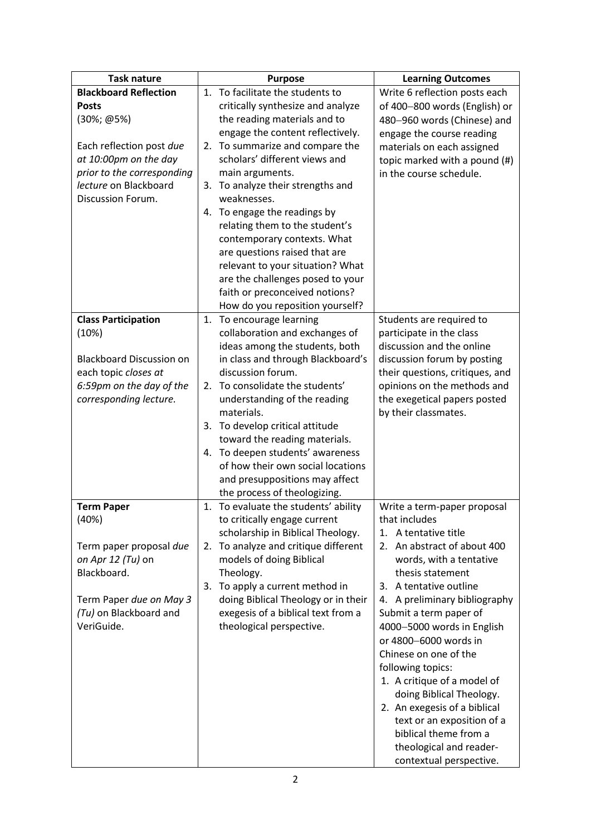| <b>Task nature</b>              | <b>Purpose</b>                                                   | <b>Learning Outcomes</b>        |
|---------------------------------|------------------------------------------------------------------|---------------------------------|
| <b>Blackboard Reflection</b>    | 1. To facilitate the students to                                 | Write 6 reflection posts each   |
| <b>Posts</b>                    | critically synthesize and analyze                                | of 400-800 words (English) or   |
| (30%; @5%)                      | the reading materials and to                                     | 480-960 words (Chinese) and     |
|                                 | engage the content reflectively.                                 | engage the course reading       |
| Each reflection post due        | 2. To summarize and compare the                                  | materials on each assigned      |
| at 10:00pm on the day           | scholars' different views and                                    | topic marked with a pound (#)   |
| prior to the corresponding      | main arguments.                                                  | in the course schedule.         |
| lecture on Blackboard           | To analyze their strengths and<br>3.                             |                                 |
| Discussion Forum.               | weaknesses.                                                      |                                 |
|                                 | 4. To engage the readings by                                     |                                 |
|                                 | relating them to the student's                                   |                                 |
|                                 | contemporary contexts. What                                      |                                 |
|                                 | are questions raised that are                                    |                                 |
|                                 | relevant to your situation? What                                 |                                 |
|                                 | are the challenges posed to your                                 |                                 |
|                                 | faith or preconceived notions?                                   |                                 |
|                                 | How do you reposition yourself?                                  |                                 |
| <b>Class Participation</b>      | To encourage learning<br>1.                                      | Students are required to        |
| (10%)                           | collaboration and exchanges of                                   | participate in the class        |
|                                 | ideas among the students, both                                   | discussion and the online       |
| <b>Blackboard Discussion on</b> | in class and through Blackboard's                                | discussion forum by posting     |
| each topic closes at            | discussion forum.                                                | their questions, critiques, and |
| 6:59pm on the day of the        | To consolidate the students'<br>2.                               | opinions on the methods and     |
| corresponding lecture.          | understanding of the reading                                     | the exegetical papers posted    |
|                                 | materials.                                                       | by their classmates.            |
|                                 | 3. To develop critical attitude<br>toward the reading materials. |                                 |
|                                 | 4. To deepen students' awareness                                 |                                 |
|                                 | of how their own social locations                                |                                 |
|                                 | and presuppositions may affect                                   |                                 |
|                                 | the process of theologizing.                                     |                                 |
| <b>Term Paper</b>               | 1. To evaluate the students' ability                             | Write a term-paper proposal     |
| (40%)                           | to critically engage current                                     | that includes                   |
|                                 | scholarship in Biblical Theology.                                | A tentative title<br>1.         |
| Term paper proposal due         | 2. To analyze and critique different                             | 2. An abstract of about 400     |
| on Apr 12 (Tu) on               | models of doing Biblical                                         | words, with a tentative         |
| Blackboard.                     | Theology.                                                        | thesis statement                |
|                                 | To apply a current method in<br>3.                               | 3. A tentative outline          |
| Term Paper due on May 3         | doing Biblical Theology or in their                              | 4. A preliminary bibliography   |
| (Tu) on Blackboard and          | exegesis of a biblical text from a                               | Submit a term paper of          |
| VeriGuide.                      | theological perspective.                                         | 4000-5000 words in English      |
|                                 |                                                                  | or 4800-6000 words in           |
|                                 |                                                                  | Chinese on one of the           |
|                                 |                                                                  | following topics:               |
|                                 |                                                                  | 1. A critique of a model of     |
|                                 |                                                                  | doing Biblical Theology.        |
|                                 |                                                                  | 2. An exegesis of a biblical    |
|                                 |                                                                  | text or an exposition of a      |
|                                 |                                                                  | biblical theme from a           |
|                                 |                                                                  | theological and reader-         |
|                                 |                                                                  | contextual perspective.         |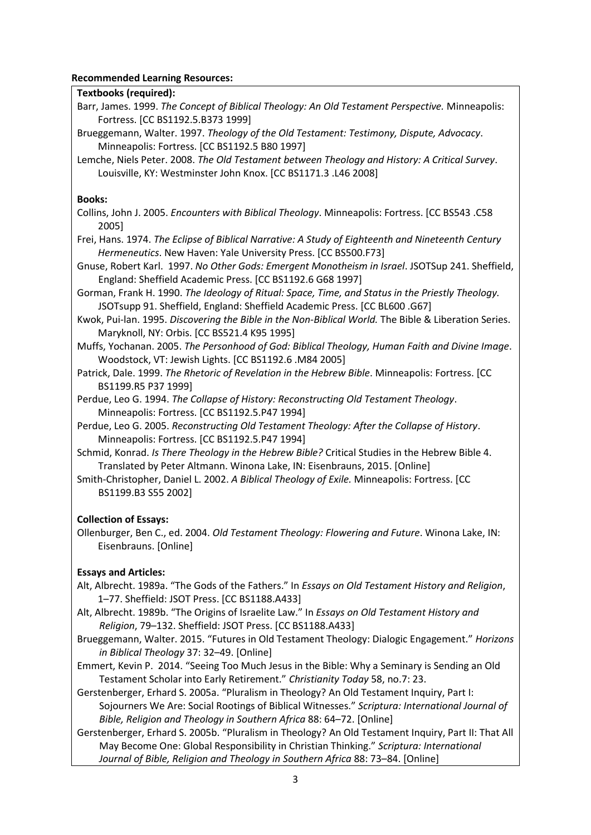## **Recommended Learning Resources:**

# **Textbooks (required):**

- Barr, James. 1999. *The Concept of Biblical Theology: An Old Testament Perspective.* Minneapolis: Fortress. [CC BS1192.5.B373 1999]
- Brueggemann, Walter. 1997. *Theology of the Old Testament: Testimony, Dispute, Advocacy*. Minneapolis: Fortress. [CC BS1192.5 B80 1997]
- Lemche, Niels Peter. 2008. *The Old Testament between Theology and History: A Critical Survey*. Louisville, KY: Westminster John Knox. [CC BS1171.3 .L46 2008]

## **Books:**

- Collins, John J. 2005. *Encounters with Biblical Theology*. Minneapolis: Fortress. [CC BS543 .C58 2005]
- Frei, Hans. 1974. *The Eclipse of Biblical Narrative: A Study of Eighteenth and Nineteenth Century Hermeneutics*. New Haven: Yale University Press. [CC BS500.F73]
- Gnuse, Robert Karl. 1997. *No Other Gods: Emergent Monotheism in Israel*. JSOTSup 241. Sheffield, England: Sheffield Academic Press. [CC BS1192.6 G68 1997]
- Gorman, Frank H. 1990. *The Ideology of Ritual: Space, Time, and Status in the Priestly Theology.* JSOTsupp 91. Sheffield, England: Sheffield Academic Press. [CC BL600 .G67]
- Kwok, Pui-lan. 1995. *Discovering the Bible in the Non-Biblical World.* The Bible & Liberation Series. Maryknoll, NY: Orbis. [CC BS521.4 K95 1995]
- Muffs, Yochanan. 2005. *The Personhood of God: Biblical Theology, Human Faith and Divine Image*. Woodstock, VT: Jewish Lights. [CC BS1192.6 .M84 2005]
- Patrick, Dale. 1999. *The Rhetoric of Revelation in the Hebrew Bible*. Minneapolis: Fortress. [CC BS1199.R5 P37 1999]
- Perdue, Leo G. 1994. *The Collapse of History: Reconstructing Old Testament Theology*. Minneapolis: Fortress. [CC BS1192.5.P47 1994]
- Perdue, Leo G. 2005. *Reconstructing Old Testament Theology: After the Collapse of History*. Minneapolis: Fortress. [CC BS1192.5.P47 1994]
- Schmid, Konrad. *Is There Theology in the Hebrew Bible?* Critical Studies in the Hebrew Bible 4. Translated by Peter Altmann. Winona Lake, IN: Eisenbrauns, 2015. [Online]
- Smith-Christopher, Daniel L. 2002. *A Biblical Theology of Exile.* Minneapolis: Fortress. [CC BS1199.B3 S55 2002]

# **Collection of Essays:**

Ollenburger, Ben C., ed. 2004. *Old Testament Theology: Flowering and Future*. Winona Lake, IN: Eisenbrauns. [Online]

# **Essays and Articles:**

- Alt, Albrecht. 1989a. "The Gods of the Fathers." In *Essays on Old Testament History and Religion*, 1–77. Sheffield: JSOT Press. [CC BS1188.A433]
- Alt, Albrecht. 1989b. "The Origins of Israelite Law." In *Essays on Old Testament History and Religion*, 79–132. Sheffield: JSOT Press. [CC BS1188.A433]
- Brueggemann, Walter. 2015. "Futures in Old Testament Theology: Dialogic Engagement." *Horizons in Biblical Theology* 37: 32–49. [Online]
- Emmert, Kevin P. 2014. "Seeing Too Much Jesus in the Bible: Why a Seminary is Sending an Old Testament Scholar into Early Retirement." *Christianity Today* 58, no.7: 23.
- Gerstenberger, Erhard S. 2005a. "Pluralism in Theology? An Old Testament Inquiry, Part I: Sojourners We Are: Social Rootings of Biblical Witnesses." *Scriptura: International Journal of Bible, Religion and Theology in Southern Africa* 88: 64–72. [Online]
- Gerstenberger, Erhard S. 2005b. "Pluralism in Theology? An Old Testament Inquiry, Part II: That All May Become One: Global Responsibility in Christian Thinking." *Scriptura: International Journal of Bible, Religion and Theology in Southern Africa* 88: 73–84. [Online]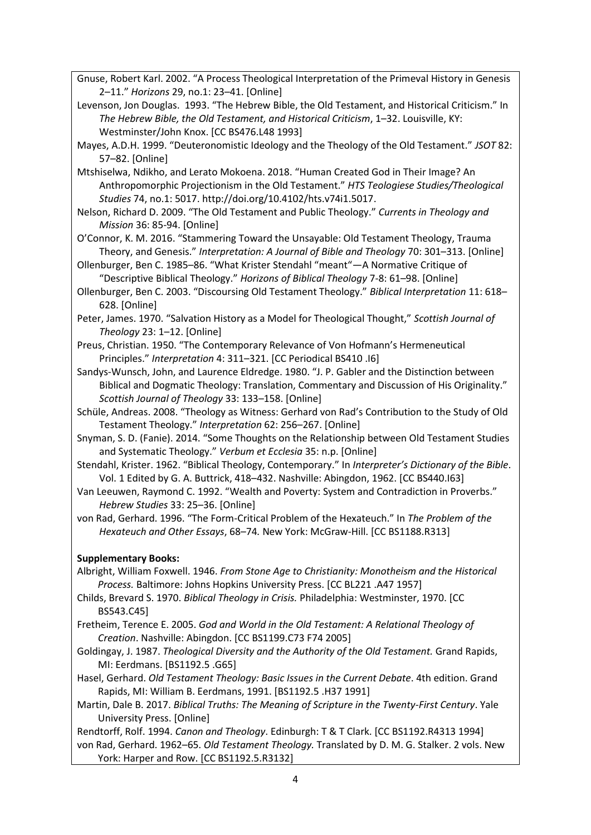Gnuse, Robert Karl. 2002. "A Process Theological Interpretation of the Primeval History in Genesis 2–11." *Horizons* 29, no.1: 23–41. [Online]

Levenson, Jon Douglas. 1993. "The Hebrew Bible, the Old Testament, and Historical Criticism." In *The Hebrew Bible, the Old Testament, and Historical Criticism*, 1–32. Louisville, KY: Westminster/John Knox. [CC BS476.L48 1993]

Mayes, A.D.H. 1999. "Deuteronomistic Ideology and the Theology of the Old Testament." *JSOT* 82: 57–82. [Online]

Mtshiselwa, Ndikho, and Lerato Mokoena. 2018. "Human Created God in Their Image? An Anthropomorphic Projectionism in the Old Testament." *HTS Teologiese Studies/Theological Studies* 74, no.1: 5017. http://doi.org/10.4102/hts.v74i1.5017.

Nelson, Richard D. 2009. "The Old Testament and Public Theology." *Currents in Theology and Mission* 36: 85-94. [Online]

O'Connor, K. M. 2016. "Stammering Toward the Unsayable: Old Testament Theology, Trauma Theory, and Genesis." *Interpretation: A Journal of Bible and Theology* 70: 301–313. [Online]

Ollenburger, Ben C. 1985–86. "What Krister Stendahl "meant"—A Normative Critique of "Descriptive Biblical Theology." *Horizons of Biblical Theology* 7-8: 61–98. [Online]

Ollenburger, Ben C. 2003. "Discoursing Old Testament Theology." *Biblical Interpretation* 11: 618– 628. [Online]

Peter, James. 1970. "Salvation History as a Model for Theological Thought," *Scottish Journal of Theology* 23: 1–12. [Online]

Preus, Christian. 1950. "The Contemporary Relevance of Von Hofmann's Hermeneutical Principles." *Interpretation* 4: 311–321. [CC Periodical BS410 .I6]

Sandys-Wunsch, John, and Laurence Eldredge. 1980. "J. P. Gabler and the Distinction between Biblical and Dogmatic Theology: Translation, Commentary and Discussion of His Originality." *Scottish Journal of Theology* 33: 133–158. [Online]

Schüle, Andreas. 2008. "Theology as Witness: Gerhard von Rad's Contribution to the Study of Old Testament Theology." *Interpretation* 62: 256–267. [Online]

Snyman, S. D. (Fanie). 2014. "Some Thoughts on the Relationship between Old Testament Studies and Systematic Theology." *Verbum et Ecclesia* 35: n.p. [Online]

Stendahl, Krister. 1962. "Biblical Theology, Contemporary." In *Interpreter's Dictionary of the Bible*. Vol. 1 Edited by G. A. Buttrick, 418–432. Nashville: Abingdon, 1962. [CC BS440.I63]

Van Leeuwen, Raymond C. 1992. "Wealth and Poverty: System and Contradiction in Proverbs." *Hebrew Studies* 33: 25–36. [Online]

von Rad, Gerhard. 1996. "The Form-Critical Problem of the Hexateuch." In *The Problem of the Hexateuch and Other Essays*, 68–74*.* New York: McGraw-Hill. [CC BS1188.R313]

# **Supplementary Books:**

Albright, William Foxwell. 1946. *From Stone Age to Christianity: Monotheism and the Historical Process.* Baltimore: Johns Hopkins University Press. [CC BL221 .A47 1957]

Childs, Brevard S. 1970. *Biblical Theology in Crisis.* Philadelphia: Westminster, 1970. [CC BS543.C45]

Fretheim, Terence E. 2005. *God and World in the Old Testament: A Relational Theology of Creation*. Nashville: Abingdon. [CC BS1199.C73 F74 2005]

- Goldingay, J. 1987. *Theological Diversity and the Authority of the Old Testament.* Grand Rapids, MI: Eerdmans. [BS1192.5 .G65]
- Hasel, Gerhard. *Old Testament Theology: Basic Issues in the Current Debate*. 4th edition. Grand Rapids, MI: William B. Eerdmans, 1991. [BS1192.5 .H37 1991]

Martin, Dale B. 2017. *Biblical Truths: The Meaning of Scripture in the Twenty-First Century*. Yale University Press. [Online]

Rendtorff, Rolf. 1994. *Canon and Theology*. Edinburgh: T & T Clark. [CC BS1192.R4313 1994]

von Rad, Gerhard. 1962–65. *Old Testament Theology.* Translated by D. M. G. Stalker. 2 vols. New York: Harper and Row. [CC BS1192.5.R3132]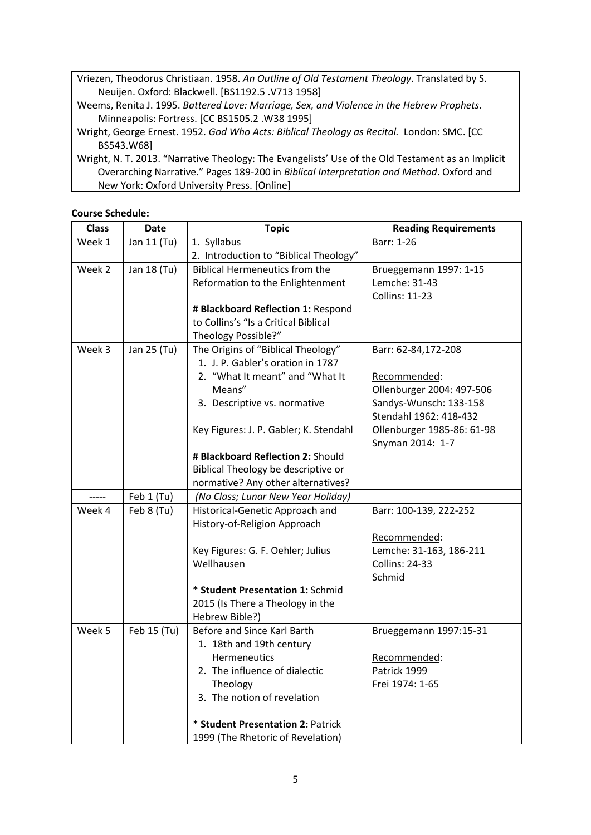Vriezen, Theodorus Christiaan. 1958. *An Outline of Old Testament Theology*. Translated by S. Neuijen. Oxford: Blackwell. [BS1192.5 .V713 1958]

Weems, Renita J. 1995. *Battered Love: Marriage, Sex, and Violence in the Hebrew Prophets*. Minneapolis: Fortress. [CC BS1505.2 .W38 1995]

Wright, N. T. 2013. "Narrative Theology: The Evangelists' Use of the Old Testament as an Implicit Overarching Narrative." Pages 189-200 in *Biblical Interpretation and Method*. Oxford and New York: Oxford University Press. [Online]

| <b>Course Schedule:</b> |
|-------------------------|

| <b>Class</b> | <b>Date</b> | <b>Topic</b>                           | <b>Reading Requirements</b> |
|--------------|-------------|----------------------------------------|-----------------------------|
| Week 1       | Jan 11 (Tu) | 1. Syllabus                            | Barr: 1-26                  |
|              |             | 2. Introduction to "Biblical Theology" |                             |
| Week 2       | Jan 18 (Tu) | <b>Biblical Hermeneutics from the</b>  | Brueggemann 1997: 1-15      |
|              |             | Reformation to the Enlightenment       | Lemche: 31-43               |
|              |             |                                        | <b>Collins: 11-23</b>       |
|              |             | # Blackboard Reflection 1: Respond     |                             |
|              |             | to Collins's "Is a Critical Biblical   |                             |
|              |             | Theology Possible?"                    |                             |
| Week 3       | Jan 25 (Tu) | The Origins of "Biblical Theology"     | Barr: 62-84,172-208         |
|              |             | 1. J. P. Gabler's oration in 1787      |                             |
|              |             | 2. "What It meant" and "What It        | Recommended:                |
|              |             | Means"                                 | Ollenburger 2004: 497-506   |
|              |             | 3. Descriptive vs. normative           | Sandys-Wunsch: 133-158      |
|              |             |                                        | Stendahl 1962: 418-432      |
|              |             | Key Figures: J. P. Gabler; K. Stendahl | Ollenburger 1985-86: 61-98  |
|              |             |                                        | Snyman 2014: 1-7            |
|              |             | # Blackboard Reflection 2: Should      |                             |
|              |             | Biblical Theology be descriptive or    |                             |
|              |             | normative? Any other alternatives?     |                             |
| -----        | Feb 1 (Tu)  | (No Class; Lunar New Year Holiday)     |                             |
| Week 4       | Feb 8 (Tu)  | Historical-Genetic Approach and        | Barr: 100-139, 222-252      |
|              |             | History-of-Religion Approach           |                             |
|              |             |                                        | Recommended:                |
|              |             | Key Figures: G. F. Oehler; Julius      | Lemche: 31-163, 186-211     |
|              |             | Wellhausen                             | <b>Collins: 24-33</b>       |
|              |             |                                        | Schmid                      |
|              |             | * Student Presentation 1: Schmid       |                             |
|              |             | 2015 (Is There a Theology in the       |                             |
|              |             | Hebrew Bible?)                         |                             |
| Week 5       | Feb 15 (Tu) | Before and Since Karl Barth            | Brueggemann 1997:15-31      |
|              |             | 1. 18th and 19th century               |                             |
|              |             | Hermeneutics                           | Recommended:                |
|              |             | 2. The influence of dialectic          | Patrick 1999                |
|              |             | Theology                               | Frei 1974: 1-65             |
|              |             | 3. The notion of revelation            |                             |
|              |             |                                        |                             |
|              |             | * Student Presentation 2: Patrick      |                             |
|              |             | 1999 (The Rhetoric of Revelation)      |                             |

Wright, George Ernest. 1952. *God Who Acts: Biblical Theology as Recital.* London: SMC. [CC BS543.W68]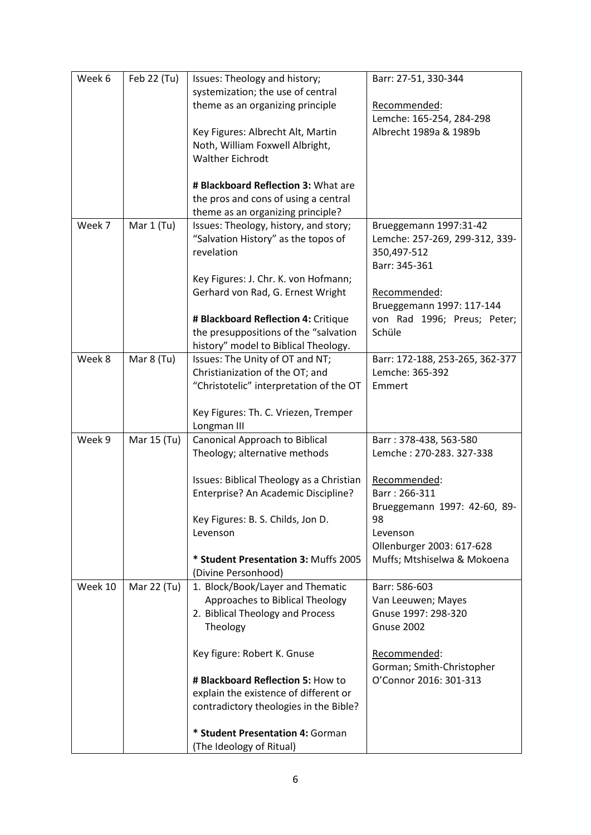| Week 6  | Feb 22 (Tu) | Issues: Theology and history;                                                   | Barr: 27-51, 330-344                  |
|---------|-------------|---------------------------------------------------------------------------------|---------------------------------------|
|         |             | systemization; the use of central                                               |                                       |
|         |             | theme as an organizing principle                                                | Recommended:                          |
|         |             |                                                                                 | Lemche: 165-254, 284-298              |
|         |             | Key Figures: Albrecht Alt, Martin                                               | Albrecht 1989a & 1989b                |
|         |             | Noth, William Foxwell Albright,                                                 |                                       |
|         |             | <b>Walther Eichrodt</b>                                                         |                                       |
|         |             | # Blackboard Reflection 3: What are                                             |                                       |
|         |             | the pros and cons of using a central                                            |                                       |
|         |             | theme as an organizing principle?                                               |                                       |
| Week 7  | Mar 1 (Tu)  | Issues: Theology, history, and story;                                           | Brueggemann 1997:31-42                |
|         |             | "Salvation History" as the topos of                                             | Lemche: 257-269, 299-312, 339-        |
|         |             | revelation                                                                      | 350,497-512                           |
|         |             |                                                                                 | Barr: 345-361                         |
|         |             | Key Figures: J. Chr. K. von Hofmann;                                            |                                       |
|         |             | Gerhard von Rad, G. Ernest Wright                                               | Recommended:                          |
|         |             |                                                                                 | Brueggemann 1997: 117-144             |
|         |             | # Blackboard Reflection 4: Critique<br>the presuppositions of the "salvation    | von Rad 1996; Preus; Peter;<br>Schüle |
|         |             | history" model to Biblical Theology.                                            |                                       |
| Week 8  | Mar 8 (Tu)  | Issues: The Unity of OT and NT;                                                 | Barr: 172-188, 253-265, 362-377       |
|         |             | Christianization of the OT; and                                                 | Lemche: 365-392                       |
|         |             | "Christotelic" interpretation of the OT                                         | Emmert                                |
|         |             |                                                                                 |                                       |
|         |             | Key Figures: Th. C. Vriezen, Tremper                                            |                                       |
|         |             | Longman III                                                                     |                                       |
| Week 9  | Mar 15 (Tu) | Canonical Approach to Biblical                                                  | Barr: 378-438, 563-580                |
|         |             | Theology; alternative methods                                                   | Lemche: 270-283. 327-338              |
|         |             |                                                                                 |                                       |
|         |             | Issues: Biblical Theology as a Christian<br>Enterprise? An Academic Discipline? | Recommended:<br>Barr: 266-311         |
|         |             |                                                                                 | Brueggemann 1997: 42-60, 89-          |
|         |             | Key Figures: B. S. Childs, Jon D.                                               | 98                                    |
|         |             | Levenson                                                                        | Levenson                              |
|         |             |                                                                                 | Ollenburger 2003: 617-628             |
|         |             | * Student Presentation 3: Muffs 2005                                            | Muffs; Mtshiselwa & Mokoena           |
|         |             | (Divine Personhood)                                                             |                                       |
| Week 10 | Mar 22 (Tu) | 1. Block/Book/Layer and Thematic                                                | Barr: 586-603                         |
|         |             | Approaches to Biblical Theology                                                 | Van Leeuwen; Mayes                    |
|         |             | 2. Biblical Theology and Process                                                | Gnuse 1997: 298-320                   |
|         |             | Theology                                                                        | <b>Gnuse 2002</b>                     |
|         |             | Key figure: Robert K. Gnuse                                                     | Recommended:                          |
|         |             |                                                                                 | Gorman; Smith-Christopher             |
|         |             | # Blackboard Reflection 5: How to                                               | O'Connor 2016: 301-313                |
|         |             | explain the existence of different or                                           |                                       |
|         |             | contradictory theologies in the Bible?                                          |                                       |
|         |             | * Student Presentation 4: Gorman                                                |                                       |
|         |             | (The Ideology of Ritual)                                                        |                                       |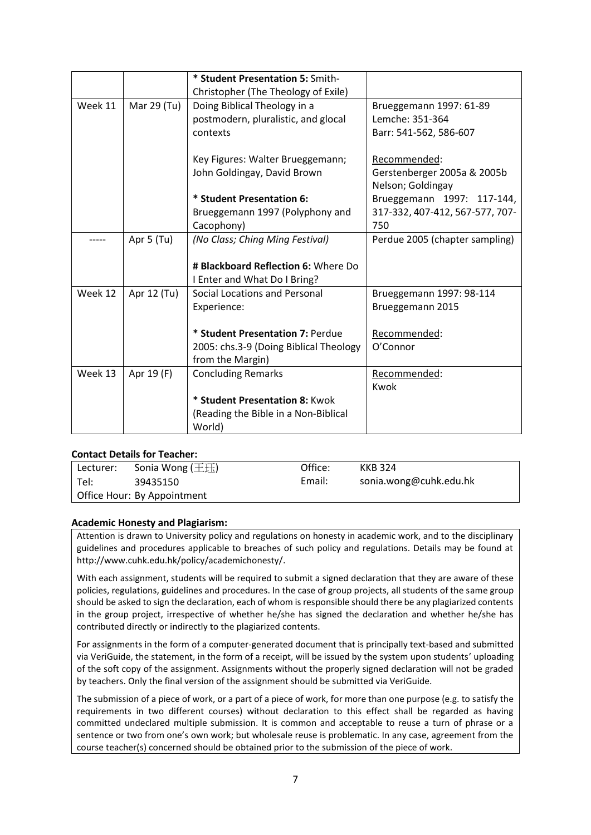|         |             | * Student Presentation 5: Smith-       |                                 |
|---------|-------------|----------------------------------------|---------------------------------|
|         |             | Christopher (The Theology of Exile)    |                                 |
| Week 11 | Mar 29 (Tu) | Doing Biblical Theology in a           | Brueggemann 1997: 61-89         |
|         |             | postmodern, pluralistic, and glocal    | Lemche: 351-364                 |
|         |             | contexts                               | Barr: 541-562, 586-607          |
|         |             | Key Figures: Walter Brueggemann;       | Recommended:                    |
|         |             | John Goldingay, David Brown            | Gerstenberger 2005a & 2005b     |
|         |             |                                        | Nelson; Goldingay               |
|         |             | * Student Presentation 6:              | Brueggemann 1997: 117-144,      |
|         |             | Brueggemann 1997 (Polyphony and        | 317-332, 407-412, 567-577, 707- |
|         |             | Cacophony)                             | 750                             |
|         | Apr 5 (Tu)  | (No Class; Ching Ming Festival)        | Perdue 2005 (chapter sampling)  |
|         |             |                                        |                                 |
|         |             | # Blackboard Reflection 6: Where Do    |                                 |
|         |             | I Enter and What Do I Bring?           |                                 |
| Week 12 | Apr 12 (Tu) | <b>Social Locations and Personal</b>   | Brueggemann 1997: 98-114        |
|         |             | Experience:                            | Brueggemann 2015                |
|         |             |                                        |                                 |
|         |             | * Student Presentation 7: Perdue       | Recommended:                    |
|         |             | 2005: chs.3-9 (Doing Biblical Theology | O'Connor                        |
|         |             | from the Margin)                       |                                 |
| Week 13 | Apr 19 (F)  | <b>Concluding Remarks</b>              | Recommended:                    |
|         |             |                                        | Kwok                            |
|         |             | * Student Presentation 8: Kwok         |                                 |
|         |             | (Reading the Bible in a Non-Biblical   |                                 |
|         |             | World)                                 |                                 |

#### **Contact Details for Teacher:**

| Lecturer:                   | Sonia Wong ( $\pm\text{f}$ ) | Office: | KKB 324                |  |  |  |
|-----------------------------|------------------------------|---------|------------------------|--|--|--|
| Tel:                        | 39435150                     | Email:  | sonia.wong@cuhk.edu.hk |  |  |  |
| Office Hour: By Appointment |                              |         |                        |  |  |  |

#### **Academic Honesty and Plagiarism:**

Attention is drawn to University policy and regulations on honesty in academic work, and to the disciplinary guidelines and procedures applicable to breaches of such policy and regulations. Details may be found at [http://www.cuhk.edu.hk/policy/academichonesty/.](http://www.cuhk.edu.hk/policy/academichonesty/)

With each assignment, students will be required to submit a signe[d declaration](file:///D:/Users/vikki_aqs/AppData/Local/Microsoft/Windows/Temporary%20Internet%20Files/Content.Outlook/Application%20Data/Microsoft/Academic%20Honesty/Eng%20htm%20files%20(2013-14)/p10.htm) that they are aware of these policies, regulations, guidelines and procedures. In the case of group projects, all students of the same group should be asked to sign the declaration, each of whom is responsible should there be any plagiarized contents in the group project, irrespective of whether he/she has signed the declaration and whether he/she has contributed directly or indirectly to the plagiarized contents.

For assignments in the form of a computer-generated document that is principally text-based and submitted via VeriGuide, the statement, in the form of a receipt, will be issued by the system upon students' uploading of the soft copy of the assignment. Assignments without the properly signed declaration will not be graded by teachers. Only the final version of the assignment should be submitted via VeriGuide.

The submission of a piece of work, or a part of a piece of work, for more than one purpose (e.g. to satisfy the requirements in two different courses) without declaration to this effect shall be regarded as having committed undeclared multiple submission. It is common and acceptable to reuse a turn of phrase or a sentence or two from one's own work; but wholesale reuse is problematic. In any case, agreement from the course teacher(s) concerned should be obtained prior to the submission of the piece of work.